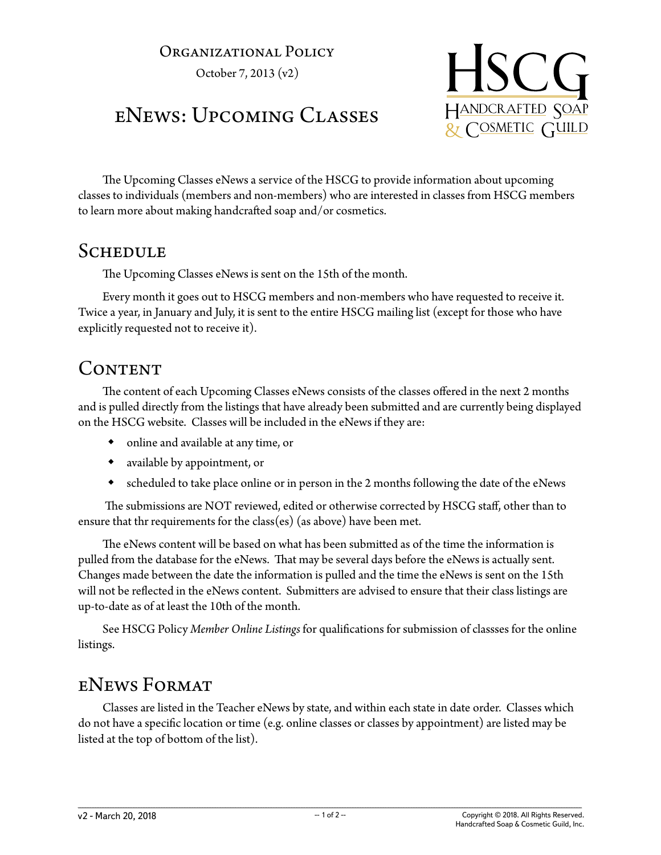#### Organizational Policy

October 7, 2013 (v2)

# eNews: Upcoming Classes



The Upcoming Classes eNews a service of the HSCG to provide information about upcoming classes to individuals (members and non-members) who are interested in classes from HSCG members to learn more about making handcrafted soap and/or cosmetics.

#### **SCHEDULE**

The Upcoming Classes eNews is sent on the 15th of the month.

Every month it goes out to HSCG members and non-members who have requested to receive it. Twice a year, in January and July, it is sent to the entire HSCG mailing list (except for those who have explicitly requested not to receive it).

### CONTENT

The content of each Upcoming Classes eNews consists of the classes offered in the next 2 months and is pulled directly from the listings that have already been submitted and are currently being displayed on the HSCG website. Classes will be included in the eNews if they are:

- online and available at any time, or
- available by appointment, or
- scheduled to take place online or in person in the 2 months following the date of the eNews

 The submissions are NOT reviewed, edited or otherwise corrected by HSCG staff, other than to ensure that thr requirements for the class(es) (as above) have been met.

The eNews content will be based on what has been submitted as of the time the information is pulled from the database for the eNews. That may be several days before the eNews is actually sent. Changes made between the date the information is pulled and the time the eNews is sent on the 15th will not be reflected in the eNews content. Submitters are advised to ensure that their class listings are up-to-date as of at least the 10th of the month.

See HSCG Policy *Member Online Listings* for qualifications for submission of classses for the online listings.

## eNews Format

Classes are listed in the Teacher eNews by state, and within each state in date order. Classes which do not have a specific location or time (e.g. online classes or classes by appointment) are listed may be listed at the top of bottom of the list).